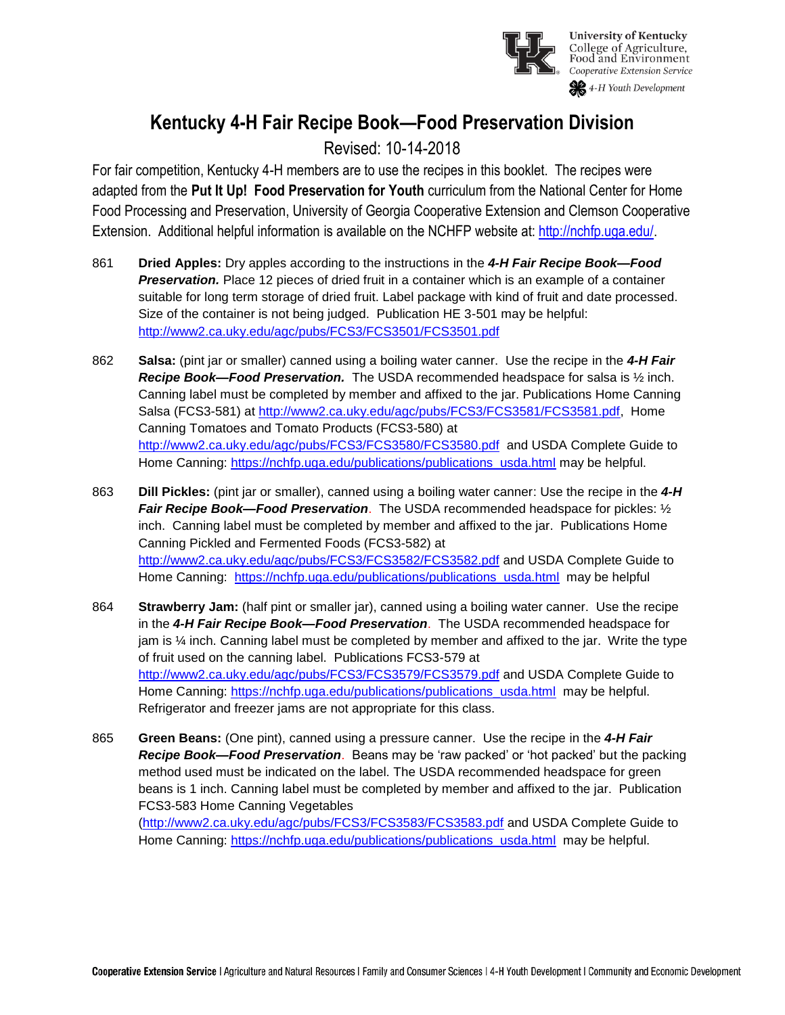

# **Kentucky 4-H Fair Recipe Book—Food Preservation Division**

## Revised: 10-14-2018

For fair competition, Kentucky 4-H members are to use the recipes in this booklet. The recipes were adapted from the **Put It Up! Food Preservation for Youth** curriculum from the National Center for Home Food Processing and Preservation, University of Georgia Cooperative Extension and Clemson Cooperative Extension. Additional helpful information is available on the NCHFP website at: [http://nchfp.uga.edu/.](http://nchfp.uga.edu/)

- 861 **Dried Apples:** Dry apples according to the instructions in the *4-H Fair Recipe Book—Food*  **Preservation.** Place 12 pieces of dried fruit in a container which is an example of a container suitable for long term storage of dried fruit. Label package with kind of fruit and date processed. Size of the container is not being judged. Publication HE 3-501 may be helpful: <http://www2.ca.uky.edu/agc/pubs/FCS3/FCS3501/FCS3501.pdf>
- 862 **Salsa:** (pint jar or smaller) canned using a boiling water canner. Use the recipe in the *4-H Fair Recipe Book—Food Preservation.* The USDA recommended headspace for salsa is ½ inch. Canning label must be completed by member and affixed to the jar. Publications Home Canning Salsa (FCS3-581) at [http://www2.ca.uky.edu/agc/pubs/FCS3/FCS3581/FCS3581.pdf,](http://www2.ca.uky.edu/agc/pubs/FCS3/FCS3581/FCS3581.pdf) Home Canning Tomatoes and Tomato Products (FCS3-580) at <http://www2.ca.uky.edu/agc/pubs/FCS3/FCS3580/FCS3580.pdf>and USDA Complete Guide to Home Canning: [https://nchfp.uga.edu/publications/publications\\_usda.html](https://nchfp.uga.edu/publications/publications_usda.html) may be helpful.
- 863 **Dill Pickles:** (pint jar or smaller), canned using a boiling water canner: Use the recipe in the *4-H Fair Recipe Book—Food Preservation*. The USDA recommended headspace for pickles: ½ inch. Canning label must be completed by member and affixed to the jar. Publications Home Canning Pickled and Fermented Foods (FCS3-582) at <http://www2.ca.uky.edu/agc/pubs/FCS3/FCS3582/FCS3582.pdf> and USDA Complete Guide to Home Canning: [https://nchfp.uga.edu/publications/publications\\_usda.html](https://nchfp.uga.edu/publications/publications_usda.html) may be helpful
- 864 **Strawberry Jam:** (half pint or smaller jar), canned using a boiling water canner. Use the recipe in the *4-H Fair Recipe Book—Food Preservation*. The USDA recommended headspace for jam is ¼ inch. Canning label must be completed by member and affixed to the jar. Write the type of fruit used on the canning label. Publications FCS3-579 at <http://www2.ca.uky.edu/agc/pubs/FCS3/FCS3579/FCS3579.pdf> and USDA Complete Guide to Home Canning: [https://nchfp.uga.edu/publications/publications\\_usda.html](https://nchfp.uga.edu/publications/publications_usda.html) may be helpful. Refrigerator and freezer jams are not appropriate for this class.
- 865 **Green Beans:** (One pint), canned using a pressure canner. Use the recipe in the *4-H Fair Recipe Book—Food Preservation*. Beans may be 'raw packed' or 'hot packed' but the packing method used must be indicated on the label. The USDA recommended headspace for green beans is 1 inch. Canning label must be completed by member and affixed to the jar. Publication FCS3-583 Home Canning Vegetables

[\(http://www2.ca.uky.edu/agc/pubs/FCS3/FCS3583/FCS3583.pdf](http://www2.ca.uky.edu/agc/pubs/FCS3/FCS3583/FCS3583.pdf) and USDA Complete Guide to Home Canning: [https://nchfp.uga.edu/publications/publications\\_usda.html](https://nchfp.uga.edu/publications/publications_usda.html) may be helpful.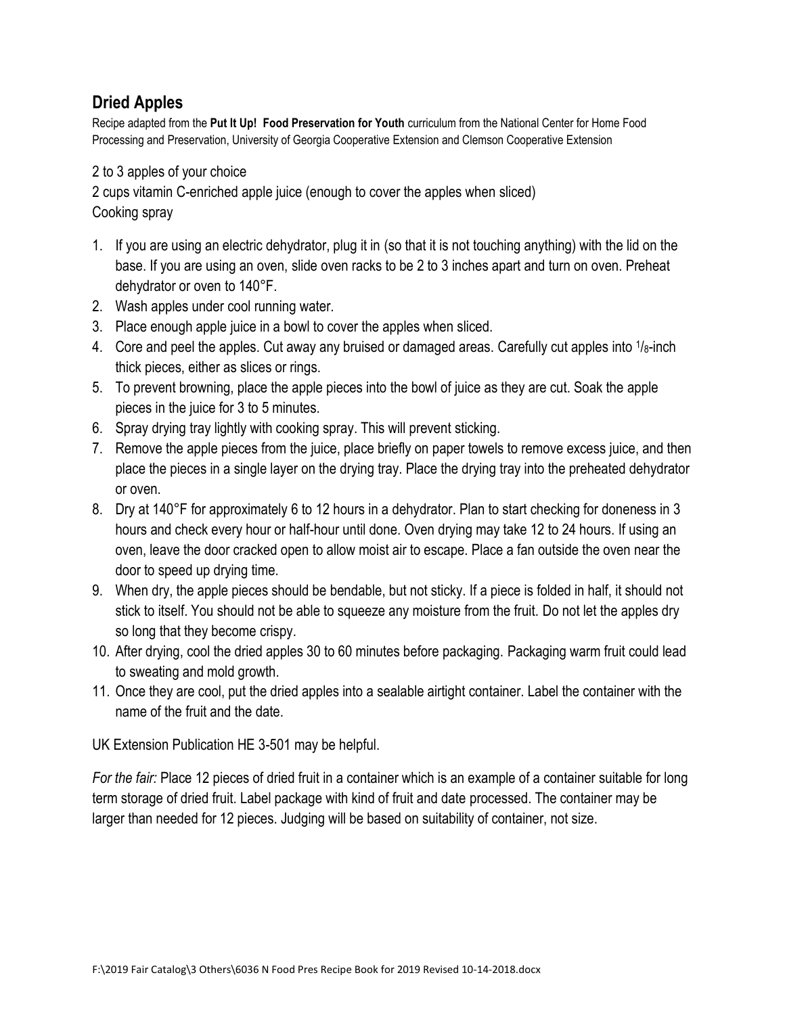## **Dried Apples**

Recipe adapted from the **Put It Up! Food Preservation for Youth** curriculum from the National Center for Home Food Processing and Preservation, University of Georgia Cooperative Extension and Clemson Cooperative Extension

2 to 3 apples of your choice

2 cups vitamin C-enriched apple juice (enough to cover the apples when sliced) Cooking spray

- 1. If you are using an electric dehydrator, plug it in (so that it is not touching anything) with the lid on the base. If you are using an oven, slide oven racks to be 2 to 3 inches apart and turn on oven. Preheat dehydrator or oven to 140°F.
- 2. Wash apples under cool running water.
- 3. Place enough apple juice in a bowl to cover the apples when sliced.
- 4. Core and peel the apples. Cut away any bruised or damaged areas. Carefully cut apples into  $1/g$ -inch thick pieces, either as slices or rings.
- 5. To prevent browning, place the apple pieces into the bowl of juice as they are cut. Soak the apple pieces in the juice for 3 to 5 minutes.
- 6. Spray drying tray lightly with cooking spray. This will prevent sticking.
- 7. Remove the apple pieces from the juice, place briefly on paper towels to remove excess juice, and then place the pieces in a single layer on the drying tray. Place the drying tray into the preheated dehydrator or oven.
- 8. Dry at 140°F for approximately 6 to 12 hours in a dehydrator. Plan to start checking for doneness in 3 hours and check every hour or half-hour until done. Oven drying may take 12 to 24 hours. If using an oven, leave the door cracked open to allow moist air to escape. Place a fan outside the oven near the door to speed up drying time.
- 9. When dry, the apple pieces should be bendable, but not sticky. If a piece is folded in half, it should not stick to itself. You should not be able to squeeze any moisture from the fruit. Do not let the apples dry so long that they become crispy.
- 10. After drying, cool the dried apples 30 to 60 minutes before packaging. Packaging warm fruit could lead to sweating and mold growth.
- 11. Once they are cool, put the dried apples into a sealable airtight container. Label the container with the name of the fruit and the date.

UK Extension Publication HE 3-501 may be helpful.

*For the fair:* Place 12 pieces of dried fruit in a container which is an example of a container suitable for long term storage of dried fruit. Label package with kind of fruit and date processed. The container may be larger than needed for 12 pieces. Judging will be based on suitability of container, not size.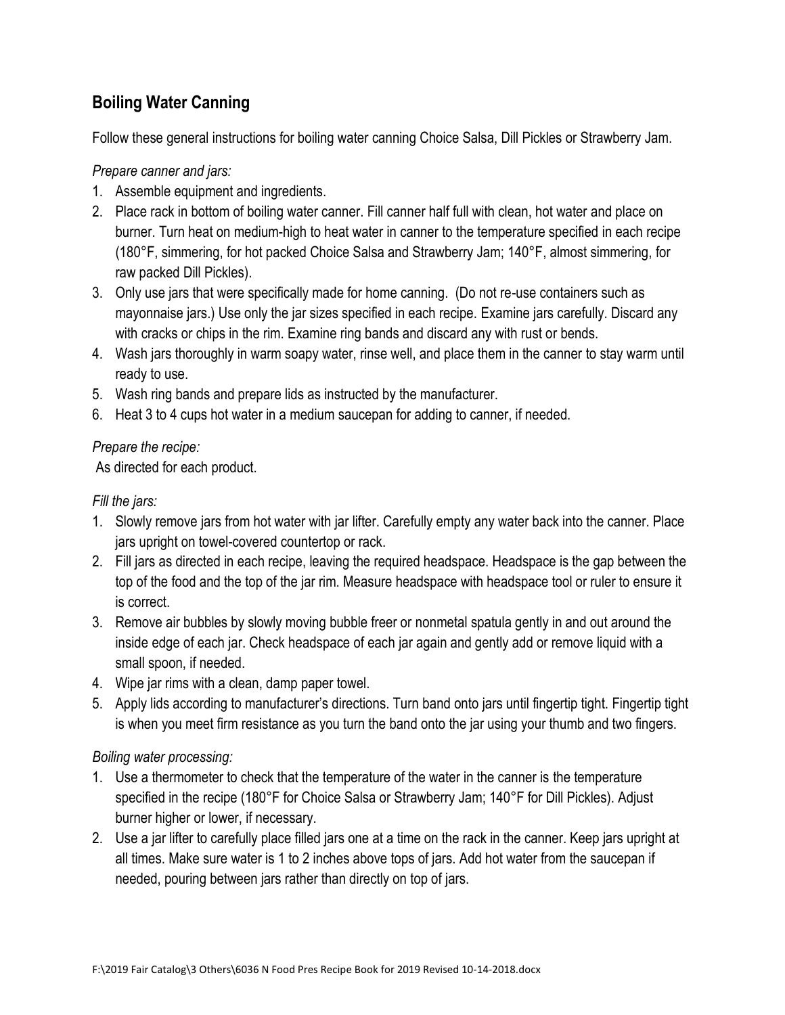## **Boiling Water Canning**

Follow these general instructions for boiling water canning Choice Salsa, Dill Pickles or Strawberry Jam.

*Prepare canner and jars:*

- 1. Assemble equipment and ingredients.
- 2. Place rack in bottom of boiling water canner. Fill canner half full with clean, hot water and place on burner. Turn heat on medium-high to heat water in canner to the temperature specified in each recipe (180°F, simmering, for hot packed Choice Salsa and Strawberry Jam; 140°F, almost simmering, for raw packed Dill Pickles).
- 3. Only use jars that were specifically made for home canning. (Do not re-use containers such as mayonnaise jars.) Use only the jar sizes specified in each recipe. Examine jars carefully. Discard any with cracks or chips in the rim. Examine ring bands and discard any with rust or bends.
- 4. Wash jars thoroughly in warm soapy water, rinse well, and place them in the canner to stay warm until ready to use.
- 5. Wash ring bands and prepare lids as instructed by the manufacturer.
- 6. Heat 3 to 4 cups hot water in a medium saucepan for adding to canner, if needed.

## *Prepare the recipe:*

As directed for each product.

## *Fill the jars:*

- 1. Slowly remove jars from hot water with jar lifter. Carefully empty any water back into the canner. Place jars upright on towel-covered countertop or rack.
- 2. Fill jars as directed in each recipe, leaving the required headspace. Headspace is the gap between the top of the food and the top of the jar rim. Measure headspace with headspace tool or ruler to ensure it is correct.
- 3. Remove air bubbles by slowly moving bubble freer or nonmetal spatula gently in and out around the inside edge of each jar. Check headspace of each jar again and gently add or remove liquid with a small spoon, if needed.
- 4. Wipe jar rims with a clean, damp paper towel.
- 5. Apply lids according to manufacturer's directions. Turn band onto jars until fingertip tight. Fingertip tight is when you meet firm resistance as you turn the band onto the jar using your thumb and two fingers.

## *Boiling water processing:*

- 1. Use a thermometer to check that the temperature of the water in the canner is the temperature specified in the recipe (180°F for Choice Salsa or Strawberry Jam; 140°F for Dill Pickles). Adjust burner higher or lower, if necessary.
- 2. Use a jar lifter to carefully place filled jars one at a time on the rack in the canner. Keep jars upright at all times. Make sure water is 1 to 2 inches above tops of jars. Add hot water from the saucepan if needed, pouring between jars rather than directly on top of jars.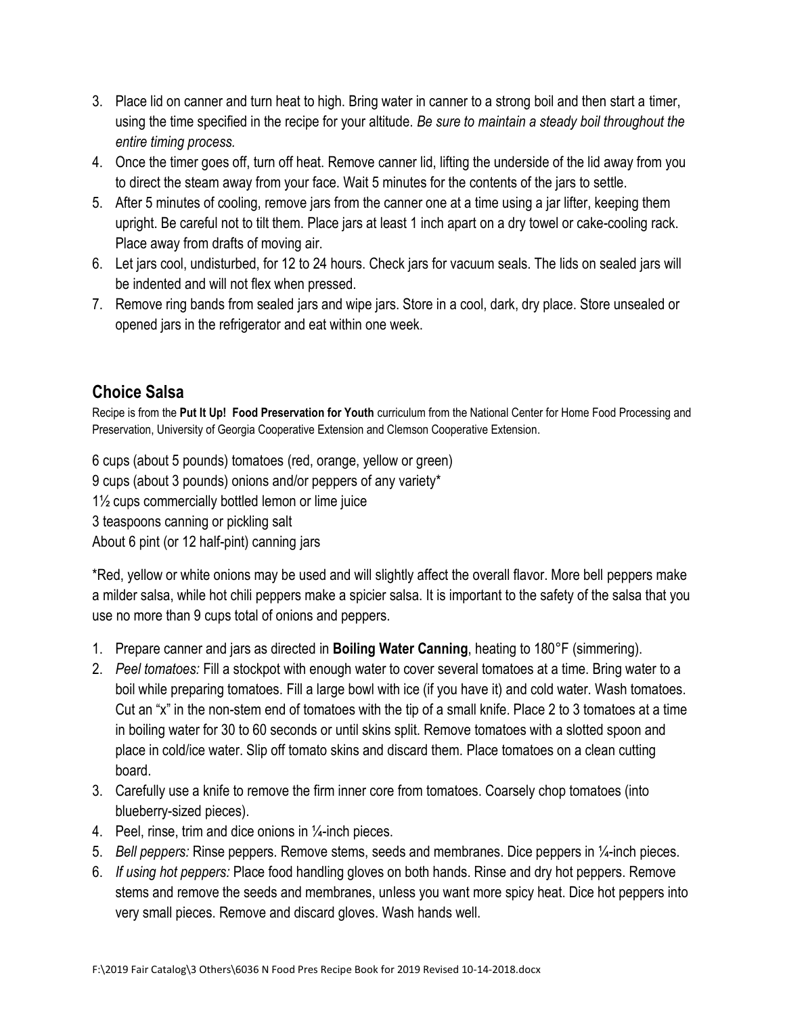- 3. Place lid on canner and turn heat to high. Bring water in canner to a strong boil and then start a timer, using the time specified in the recipe for your altitude. *Be sure to maintain a steady boil throughout the entire timing process.*
- 4. Once the timer goes off, turn off heat. Remove canner lid, lifting the underside of the lid away from you to direct the steam away from your face. Wait 5 minutes for the contents of the jars to settle.
- 5. After 5 minutes of cooling, remove jars from the canner one at a time using a jar lifter, keeping them upright. Be careful not to tilt them. Place jars at least 1 inch apart on a dry towel or cake-cooling rack. Place away from drafts of moving air.
- 6. Let jars cool, undisturbed, for 12 to 24 hours. Check jars for vacuum seals. The lids on sealed jars will be indented and will not flex when pressed.
- 7. Remove ring bands from sealed jars and wipe jars. Store in a cool, dark, dry place. Store unsealed or opened jars in the refrigerator and eat within one week.

## **Choice Salsa**

Recipe is from the **Put It Up! Food Preservation for Youth** curriculum from the National Center for Home Food Processing and Preservation, University of Georgia Cooperative Extension and Clemson Cooperative Extension.

6 cups (about 5 pounds) tomatoes (red, orange, yellow or green) 9 cups (about 3 pounds) onions and/or peppers of any variety\* 1½ cups commercially bottled lemon or lime juice 3 teaspoons canning or pickling salt About 6 pint (or 12 half-pint) canning jars

\*Red, yellow or white onions may be used and will slightly affect the overall flavor. More bell peppers make a milder salsa, while hot chili peppers make a spicier salsa. It is important to the safety of the salsa that you use no more than 9 cups total of onions and peppers.

- 1. Prepare canner and jars as directed in **Boiling Water Canning**, heating to 180°F (simmering).
- 2. *Peel tomatoes:* Fill a stockpot with enough water to cover several tomatoes at a time. Bring water to a boil while preparing tomatoes. Fill a large bowl with ice (if you have it) and cold water. Wash tomatoes. Cut an "x" in the non-stem end of tomatoes with the tip of a small knife. Place 2 to 3 tomatoes at a time in boiling water for 30 to 60 seconds or until skins split. Remove tomatoes with a slotted spoon and place in cold/ice water. Slip off tomato skins and discard them. Place tomatoes on a clean cutting board.
- 3. Carefully use a knife to remove the firm inner core from tomatoes. Coarsely chop tomatoes (into blueberry-sized pieces).
- 4. Peel, rinse, trim and dice onions in ¼-inch pieces.
- 5. *Bell peppers:* Rinse peppers. Remove stems, seeds and membranes. Dice peppers in ¼-inch pieces.
- 6. *If using hot peppers:* Place food handling gloves on both hands. Rinse and dry hot peppers. Remove stems and remove the seeds and membranes, unless you want more spicy heat. Dice hot peppers into very small pieces. Remove and discard gloves. Wash hands well.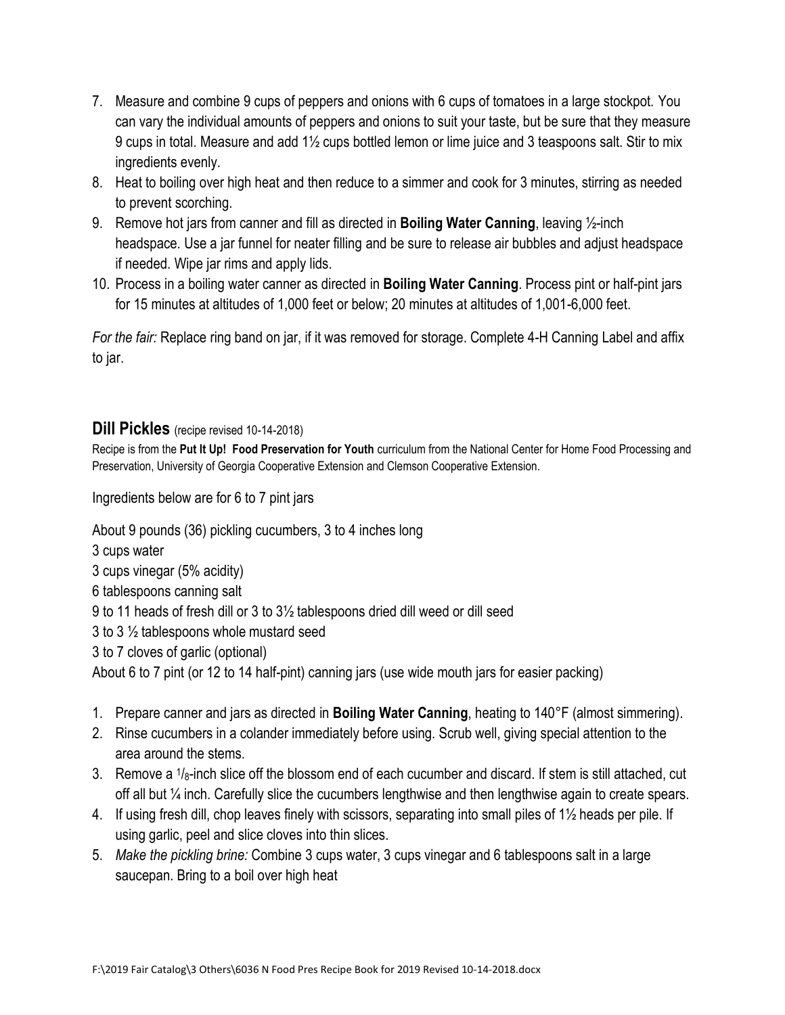- 7. Measure and combine 9 cups of peppers and onions with 6 cups of tomatoes in a large stockpot. You can vary the individual amounts of peppers and onions to suit your taste, but be sure that they measure 9 cups in total. Measure and add 1½ cups bottled lemon or lime juice and 3 teaspoons salt. Stir to mix ingredients evenly.
- 8. Heat to boiling over high heat and then reduce to a simmer and cook for 3 minutes, stirring as needed to prevent scorching.
- 9. Remove hot jars from canner and fill as directed in **Boiling Water Canning**, leaving ½-inch headspace. Use a jar funnel for neater filling and be sure to release air bubbles and adjust headspace if needed. Wipe jar rims and apply lids.
- 10. Process in a boiling water canner as directed in **Boiling Water Canning**. Process pint or half-pint jars for 15 minutes at altitudes of 1,000 feet or below; 20 minutes at altitudes of 1,001-6,000 feet.

*For the fair:* Replace ring band on jar, if it was removed for storage. Complete 4-H Canning Label and affix to jar.

## **Dill Pickles** (recipe revised 10-14-2018)

Recipe is from the **Put It Up! Food Preservation for Youth** curriculum from the National Center for Home Food Processing and Preservation, University of Georgia Cooperative Extension and Clemson Cooperative Extension.

Ingredients below are for 6 to 7 pint jars

About 9 pounds (36) pickling cucumbers, 3 to 4 inches long

- 3 cups water
- 3 cups vinegar (5% acidity)
- 6 tablespoons canning salt

9 to 11 heads of fresh dill or 3 to 3½ tablespoons dried dill weed or dill seed

3 to 3 ½ tablespoons whole mustard seed

3 to 7 cloves of garlic (optional)

About 6 to 7 pint (or 12 to 14 half-pint) canning jars (use wide mouth jars for easier packing)

- 1. Prepare canner and jars as directed in **Boiling Water Canning**, heating to 140°F (almost simmering).
- 2. Rinse cucumbers in a colander immediately before using. Scrub well, giving special attention to the area around the stems.
- 3. Remove a 1/8-inch slice off the blossom end of each cucumber and discard. If stem is still attached, cut off all but ¼ inch. Carefully slice the cucumbers lengthwise and then lengthwise again to create spears.
- 4. If using fresh dill, chop leaves finely with scissors, separating into small piles of 1½ heads per pile. If using garlic, peel and slice cloves into thin slices.
- 5. *Make the pickling brine:* Combine 3 cups water, 3 cups vinegar and 6 tablespoons salt in a large saucepan. Bring to a boil over high heat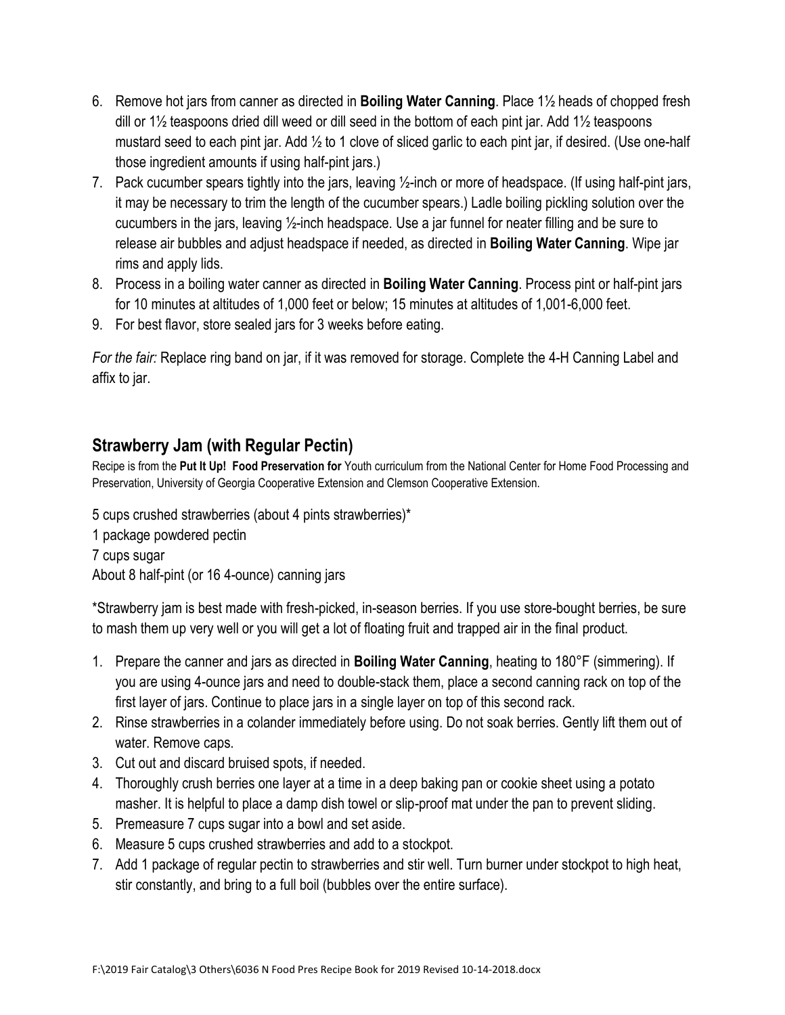- 6. Remove hot jars from canner as directed in **Boiling Water Canning**. Place 1½ heads of chopped fresh dill or 1½ teaspoons dried dill weed or dill seed in the bottom of each pint jar. Add 1½ teaspoons mustard seed to each pint jar. Add ½ to 1 clove of sliced garlic to each pint jar, if desired. (Use one-half those ingredient amounts if using half-pint jars.)
- 7. Pack cucumber spears tightly into the jars, leaving ½-inch or more of headspace. (If using half-pint jars, it may be necessary to trim the length of the cucumber spears.) Ladle boiling pickling solution over the cucumbers in the jars, leaving ½-inch headspace. Use a jar funnel for neater filling and be sure to release air bubbles and adjust headspace if needed, as directed in **Boiling Water Canning**. Wipe jar rims and apply lids.
- 8. Process in a boiling water canner as directed in **Boiling Water Canning**. Process pint or half-pint jars for 10 minutes at altitudes of 1,000 feet or below; 15 minutes at altitudes of 1,001-6,000 feet.
- 9. For best flavor, store sealed jars for 3 weeks before eating.

*For the fair:* Replace ring band on jar, if it was removed for storage. Complete the 4-H Canning Label and affix to jar.

## **Strawberry Jam (with Regular Pectin)**

Recipe is from the **Put It Up! Food Preservation for** Youth curriculum from the National Center for Home Food Processing and Preservation, University of Georgia Cooperative Extension and Clemson Cooperative Extension.

5 cups crushed strawberries (about 4 pints strawberries)\*

1 package powdered pectin 7 cups sugar

About 8 half-pint (or 16 4-ounce) canning jars

\*Strawberry jam is best made with fresh-picked, in-season berries. If you use store-bought berries, be sure to mash them up very well or you will get a lot of floating fruit and trapped air in the final product.

- 1. Prepare the canner and jars as directed in **Boiling Water Canning**, heating to 180°F (simmering). If you are using 4-ounce jars and need to double-stack them, place a second canning rack on top of the first layer of jars. Continue to place jars in a single layer on top of this second rack.
- 2. Rinse strawberries in a colander immediately before using. Do not soak berries. Gently lift them out of water. Remove caps.
- 3. Cut out and discard bruised spots, if needed.
- 4. Thoroughly crush berries one layer at a time in a deep baking pan or cookie sheet using a potato masher. It is helpful to place a damp dish towel or slip-proof mat under the pan to prevent sliding.
- 5. Premeasure 7 cups sugar into a bowl and set aside.
- 6. Measure 5 cups crushed strawberries and add to a stockpot.
- 7. Add 1 package of regular pectin to strawberries and stir well. Turn burner under stockpot to high heat, stir constantly, and bring to a full boil (bubbles over the entire surface).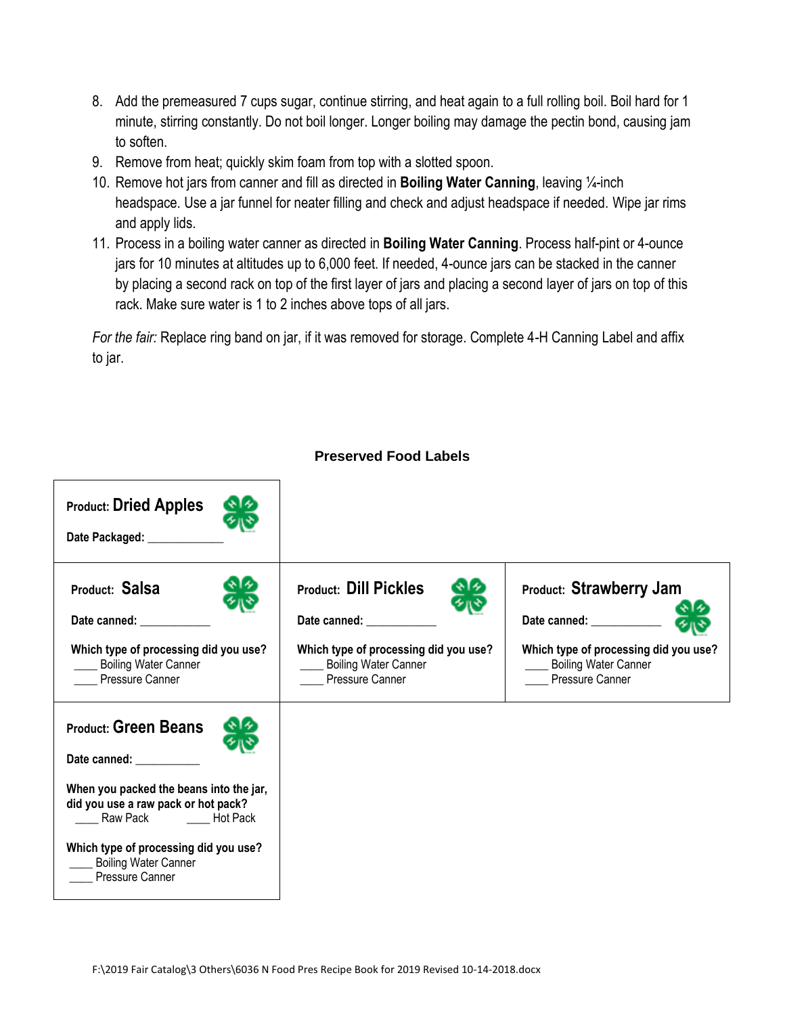- 8. Add the premeasured 7 cups sugar, continue stirring, and heat again to a full rolling boil. Boil hard for 1 minute, stirring constantly. Do not boil longer. Longer boiling may damage the pectin bond, causing jam to soften.
- 9. Remove from heat; quickly skim foam from top with a slotted spoon.
- 10. Remove hot jars from canner and fill as directed in **Boiling Water Canning**, leaving ¼-inch headspace. Use a jar funnel for neater filling and check and adjust headspace if needed. Wipe jar rims and apply lids.
- 11. Process in a boiling water canner as directed in **Boiling Water Canning**. Process half-pint or 4-ounce jars for 10 minutes at altitudes up to 6,000 feet. If needed, 4-ounce jars can be stacked in the canner by placing a second rack on top of the first layer of jars and placing a second layer of jars on top of this rack. Make sure water is 1 to 2 inches above tops of all jars.

*For the fair:* Replace ring band on jar, if it was removed for storage. Complete 4-H Canning Label and affix to jar.

| <b>Product: Dried Apples</b><br>Date Packaged: ___________                                                                                                                                                                                             |                                                                                                                                                                                                                                                                                                                                                        |                                                                                                                                                             |
|--------------------------------------------------------------------------------------------------------------------------------------------------------------------------------------------------------------------------------------------------------|--------------------------------------------------------------------------------------------------------------------------------------------------------------------------------------------------------------------------------------------------------------------------------------------------------------------------------------------------------|-------------------------------------------------------------------------------------------------------------------------------------------------------------|
| Product: Salsa<br>Which type of processing did you use?<br><b>Example 3 Boiling Water Canner</b><br>Pressure Canner                                                                                                                                    | <b>Product: Dill Pickles</b><br>Date canned: Note that the state of the state of the state of the state of the state of the state of the state of the state of the state of the state of the state of the state of the state of the state of the state of the<br>Which type of processing did you use?<br>____ Boiling Water Canner<br>Pressure Canner | <b>Product: Strawberry Jam</b><br>Date canned: _______<br>Which type of processing did you use?<br><b>Example 3</b> Boiling Water Canner<br>Pressure Canner |
| <b>Product: Green Beans</b><br>Date canned: __________<br>When you packed the beans into the jar,<br>did you use a raw pack or hot pack?<br>Raw Pack Both Hot Pack<br>Which type of processing did you use?<br>Boiling Water Canner<br>Pressure Canner |                                                                                                                                                                                                                                                                                                                                                        |                                                                                                                                                             |

#### **Preserved Food Labels**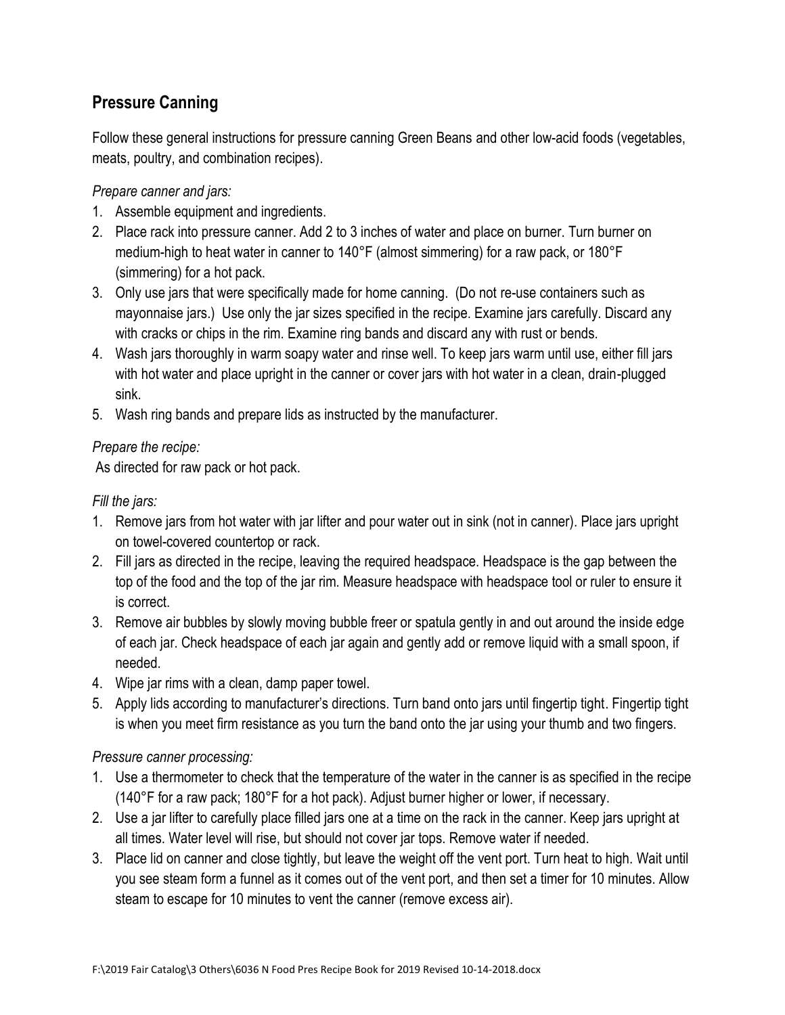## **Pressure Canning**

Follow these general instructions for pressure canning Green Beans and other low-acid foods (vegetables, meats, poultry, and combination recipes).

*Prepare canner and jars:*

- 1. Assemble equipment and ingredients.
- 2. Place rack into pressure canner. Add 2 to 3 inches of water and place on burner. Turn burner on medium-high to heat water in canner to 140°F (almost simmering) for a raw pack, or 180°F (simmering) for a hot pack.
- 3. Only use jars that were specifically made for home canning. (Do not re-use containers such as mayonnaise jars.) Use only the jar sizes specified in the recipe. Examine jars carefully. Discard any with cracks or chips in the rim. Examine ring bands and discard any with rust or bends.
- 4. Wash jars thoroughly in warm soapy water and rinse well. To keep jars warm until use, either fill jars with hot water and place upright in the canner or cover jars with hot water in a clean, drain-plugged sink.
- 5. Wash ring bands and prepare lids as instructed by the manufacturer.

## *Prepare the recipe:*

As directed for raw pack or hot pack.

### *Fill the jars:*

- 1. Remove jars from hot water with jar lifter and pour water out in sink (not in canner). Place jars upright on towel-covered countertop or rack.
- 2. Fill jars as directed in the recipe, leaving the required headspace. Headspace is the gap between the top of the food and the top of the jar rim. Measure headspace with headspace tool or ruler to ensure it is correct.
- 3. Remove air bubbles by slowly moving bubble freer or spatula gently in and out around the inside edge of each jar. Check headspace of each jar again and gently add or remove liquid with a small spoon, if needed.
- 4. Wipe jar rims with a clean, damp paper towel.
- 5. Apply lids according to manufacturer's directions. Turn band onto jars until fingertip tight. Fingertip tight is when you meet firm resistance as you turn the band onto the jar using your thumb and two fingers.

## *Pressure canner processing:*

- 1. Use a thermometer to check that the temperature of the water in the canner is as specified in the recipe (140°F for a raw pack; 180°F for a hot pack). Adjust burner higher or lower, if necessary.
- 2. Use a jar lifter to carefully place filled jars one at a time on the rack in the canner. Keep jars upright at all times. Water level will rise, but should not cover jar tops. Remove water if needed.
- 3. Place lid on canner and close tightly, but leave the weight off the vent port. Turn heat to high. Wait until you see steam form a funnel as it comes out of the vent port, and then set a timer for 10 minutes. Allow steam to escape for 10 minutes to vent the canner (remove excess air).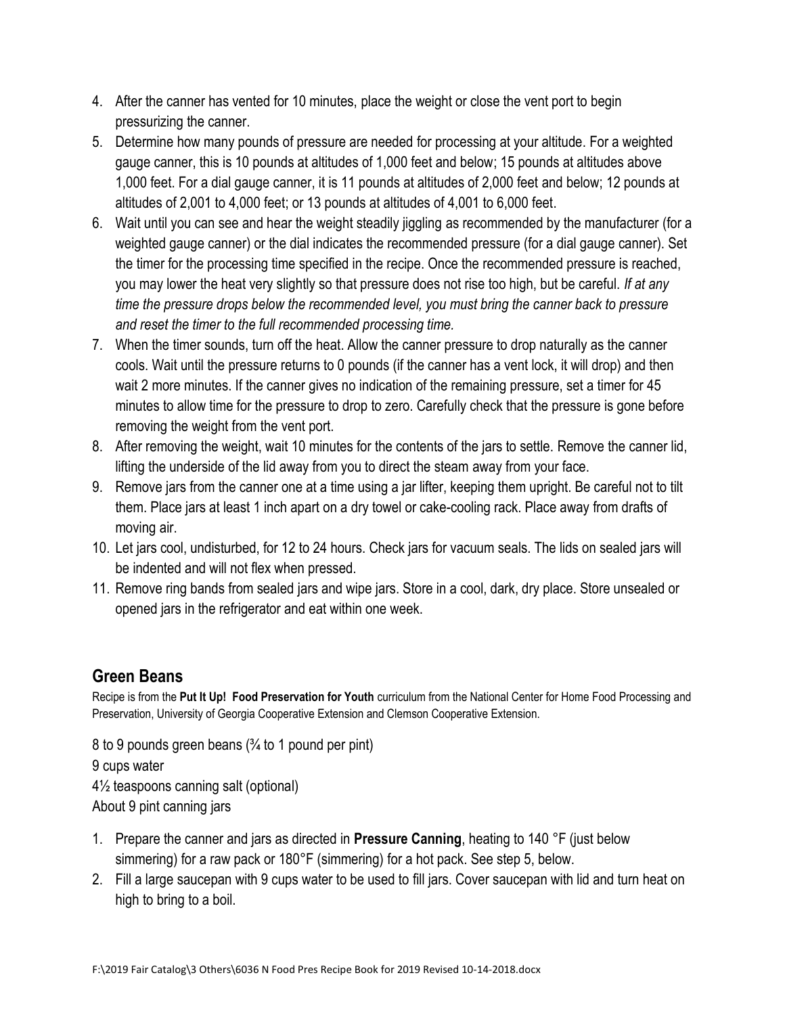- 4. After the canner has vented for 10 minutes, place the weight or close the vent port to begin pressurizing the canner.
- 5. Determine how many pounds of pressure are needed for processing at your altitude. For a weighted gauge canner, this is 10 pounds at altitudes of 1,000 feet and below; 15 pounds at altitudes above 1,000 feet. For a dial gauge canner, it is 11 pounds at altitudes of 2,000 feet and below; 12 pounds at altitudes of 2,001 to 4,000 feet; or 13 pounds at altitudes of 4,001 to 6,000 feet.
- 6. Wait until you can see and hear the weight steadily jiggling as recommended by the manufacturer (for a weighted gauge canner) or the dial indicates the recommended pressure (for a dial gauge canner). Set the timer for the processing time specified in the recipe. Once the recommended pressure is reached, you may lower the heat very slightly so that pressure does not rise too high, but be careful. *If at any time the pressure drops below the recommended level, you must bring the canner back to pressure and reset the timer to the full recommended processing time.*
- 7. When the timer sounds, turn off the heat. Allow the canner pressure to drop naturally as the canner cools. Wait until the pressure returns to 0 pounds (if the canner has a vent lock, it will drop) and then wait 2 more minutes. If the canner gives no indication of the remaining pressure, set a timer for 45 minutes to allow time for the pressure to drop to zero. Carefully check that the pressure is gone before removing the weight from the vent port.
- 8. After removing the weight, wait 10 minutes for the contents of the jars to settle. Remove the canner lid, lifting the underside of the lid away from you to direct the steam away from your face.
- 9. Remove jars from the canner one at a time using a jar lifter, keeping them upright. Be careful not to tilt them. Place jars at least 1 inch apart on a dry towel or cake-cooling rack. Place away from drafts of moving air.
- 10. Let jars cool, undisturbed, for 12 to 24 hours. Check jars for vacuum seals. The lids on sealed jars will be indented and will not flex when pressed.
- 11. Remove ring bands from sealed jars and wipe jars. Store in a cool, dark, dry place. Store unsealed or opened jars in the refrigerator and eat within one week.

## **Green Beans**

Recipe is from the **Put It Up! Food Preservation for Youth** curriculum from the National Center for Home Food Processing and Preservation, University of Georgia Cooperative Extension and Clemson Cooperative Extension.

8 to 9 pounds green beans (¾ to 1 pound per pint) 9 cups water 4½ teaspoons canning salt (optional) About 9 pint canning jars

- 1. Prepare the canner and jars as directed in **Pressure Canning**, heating to 140 °F (just below simmering) for a raw pack or 180°F (simmering) for a hot pack. See step 5, below.
- 2. Fill a large saucepan with 9 cups water to be used to fill jars. Cover saucepan with lid and turn heat on high to bring to a boil.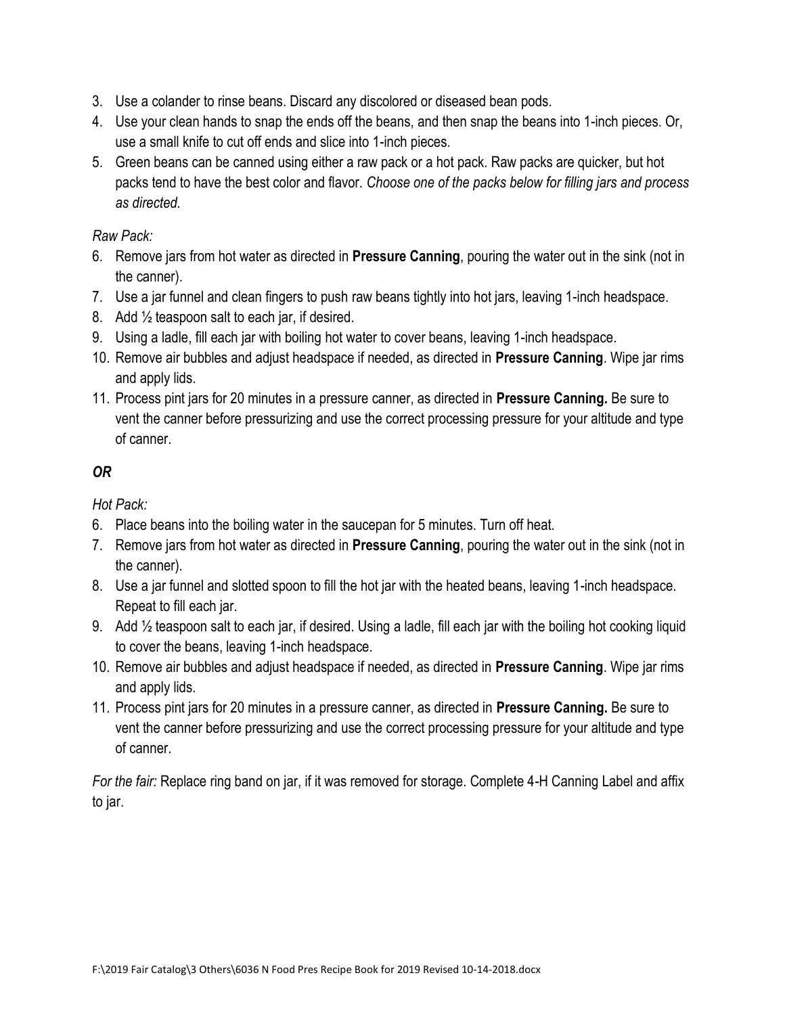- 3. Use a colander to rinse beans. Discard any discolored or diseased bean pods.
- 4. Use your clean hands to snap the ends off the beans, and then snap the beans into 1-inch pieces. Or, use a small knife to cut off ends and slice into 1-inch pieces.
- 5. Green beans can be canned using either a raw pack or a hot pack. Raw packs are quicker, but hot packs tend to have the best color and flavor. *Choose one of the packs below for filling jars and process as directed.*

### *Raw Pack:*

- 6. Remove jars from hot water as directed in **Pressure Canning**, pouring the water out in the sink (not in the canner).
- 7. Use a jar funnel and clean fingers to push raw beans tightly into hot jars, leaving 1-inch headspace.
- 8. Add  $\frac{1}{2}$  teaspoon salt to each jar, if desired.
- 9. Using a ladle, fill each jar with boiling hot water to cover beans, leaving 1-inch headspace.
- 10. Remove air bubbles and adjust headspace if needed, as directed in **Pressure Canning**. Wipe jar rims and apply lids.
- 11. Process pint jars for 20 minutes in a pressure canner, as directed in **Pressure Canning.** Be sure to vent the canner before pressurizing and use the correct processing pressure for your altitude and type of canner.

## *OR*

*Hot Pack:*

- 6. Place beans into the boiling water in the saucepan for 5 minutes. Turn off heat.
- 7. Remove jars from hot water as directed in **Pressure Canning**, pouring the water out in the sink (not in the canner).
- 8. Use a jar funnel and slotted spoon to fill the hot jar with the heated beans, leaving 1-inch headspace. Repeat to fill each jar.
- 9. Add ½ teaspoon salt to each jar, if desired. Using a ladle, fill each jar with the boiling hot cooking liquid to cover the beans, leaving 1-inch headspace.
- 10. Remove air bubbles and adjust headspace if needed, as directed in **Pressure Canning**. Wipe jar rims and apply lids.
- 11. Process pint jars for 20 minutes in a pressure canner, as directed in **Pressure Canning.** Be sure to vent the canner before pressurizing and use the correct processing pressure for your altitude and type of canner.

*For the fair:* Replace ring band on jar, if it was removed for storage. Complete 4-H Canning Label and affix to jar.